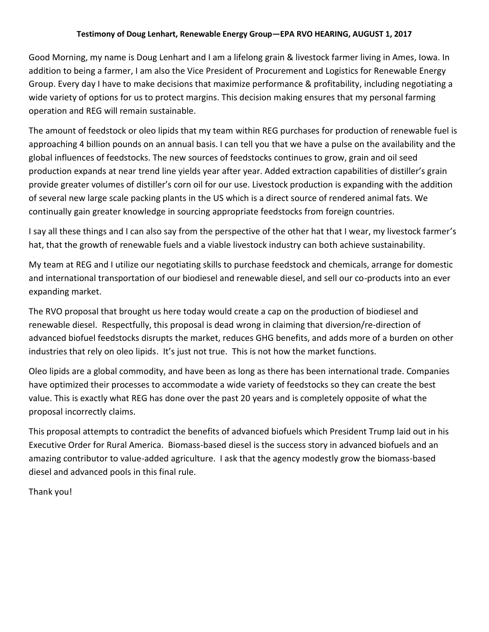## **Testimony of Doug Lenhart, Renewable Energy Group—EPA RVO HEARING, AUGUST 1, 2017**

Good Morning, my name is Doug Lenhart and I am a lifelong grain & livestock farmer living in Ames, Iowa. In addition to being a farmer, I am also the Vice President of Procurement and Logistics for Renewable Energy Group. Every day I have to make decisions that maximize performance & profitability, including negotiating a wide variety of options for us to protect margins. This decision making ensures that my personal farming operation and REG will remain sustainable.

The amount of feedstock or oleo lipids that my team within REG purchases for production of renewable fuel is approaching 4 billion pounds on an annual basis. I can tell you that we have a pulse on the availability and the global influences of feedstocks. The new sources of feedstocks continues to grow, grain and oil seed production expands at near trend line yields year after year. Added extraction capabilities of distiller's grain provide greater volumes of distiller's corn oil for our use. Livestock production is expanding with the addition of several new large scale packing plants in the US which is a direct source of rendered animal fats. We continually gain greater knowledge in sourcing appropriate feedstocks from foreign countries.

I say all these things and I can also say from the perspective of the other hat that I wear, my livestock farmer's hat, that the growth of renewable fuels and a viable livestock industry can both achieve sustainability.

My team at REG and I utilize our negotiating skills to purchase feedstock and chemicals, arrange for domestic and international transportation of our biodiesel and renewable diesel, and sell our co-products into an ever expanding market.

The RVO proposal that brought us here today would create a cap on the production of biodiesel and renewable diesel. Respectfully, this proposal is dead wrong in claiming that diversion/re-direction of advanced biofuel feedstocks disrupts the market, reduces GHG benefits, and adds more of a burden on other industries that rely on oleo lipids. It's just not true. This is not how the market functions.

Oleo lipids are a global commodity, and have been as long as there has been international trade. Companies have optimized their processes to accommodate a wide variety of feedstocks so they can create the best value. This is exactly what REG has done over the past 20 years and is completely opposite of what the proposal incorrectly claims.

This proposal attempts to contradict the benefits of advanced biofuels which President Trump laid out in his Executive Order for Rural America. Biomass-based diesel is the success story in advanced biofuels and an amazing contributor to value-added agriculture. I ask that the agency modestly grow the biomass-based diesel and advanced pools in this final rule.

Thank you!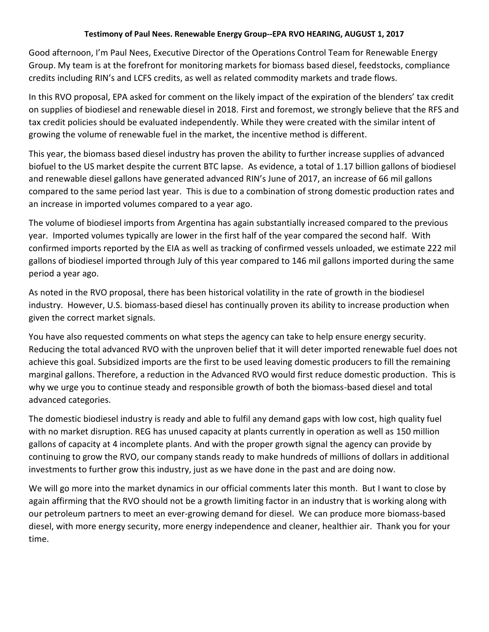## **Testimony of Paul Nees. Renewable Energy Group--EPA RVO HEARING, AUGUST 1, 2017**

Good afternoon, I'm Paul Nees, Executive Director of the Operations Control Team for Renewable Energy Group. My team is at the forefront for monitoring markets for biomass based diesel, feedstocks, compliance credits including RIN's and LCFS credits, as well as related commodity markets and trade flows.

In this RVO proposal, EPA asked for comment on the likely impact of the expiration of the blenders' tax credit on supplies of biodiesel and renewable diesel in 2018. First and foremost, we strongly believe that the RFS and tax credit policies should be evaluated independently. While they were created with the similar intent of growing the volume of renewable fuel in the market, the incentive method is different.

This year, the biomass based diesel industry has proven the ability to further increase supplies of advanced biofuel to the US market despite the current BTC lapse. As evidence, a total of 1.17 billion gallons of biodiesel and renewable diesel gallons have generated advanced RIN's June of 2017, an increase of 66 mil gallons compared to the same period last year. This is due to a combination of strong domestic production rates and an increase in imported volumes compared to a year ago.

The volume of biodiesel imports from Argentina has again substantially increased compared to the previous year. Imported volumes typically are lower in the first half of the year compared the second half. With confirmed imports reported by the EIA as well as tracking of confirmed vessels unloaded, we estimate 222 mil gallons of biodiesel imported through July of this year compared to 146 mil gallons imported during the same period a year ago.

As noted in the RVO proposal, there has been historical volatility in the rate of growth in the biodiesel industry. However, U.S. biomass-based diesel has continually proven its ability to increase production when given the correct market signals.

You have also requested comments on what steps the agency can take to help ensure energy security. Reducing the total advanced RVO with the unproven belief that it will deter imported renewable fuel does not achieve this goal. Subsidized imports are the first to be used leaving domestic producers to fill the remaining marginal gallons. Therefore, a reduction in the Advanced RVO would first reduce domestic production. This is why we urge you to continue steady and responsible growth of both the biomass-based diesel and total advanced categories.

The domestic biodiesel industry is ready and able to fulfil any demand gaps with low cost, high quality fuel with no market disruption. REG has unused capacity at plants currently in operation as well as 150 million gallons of capacity at 4 incomplete plants. And with the proper growth signal the agency can provide by continuing to grow the RVO, our company stands ready to make hundreds of millions of dollars in additional investments to further grow this industry, just as we have done in the past and are doing now.

We will go more into the market dynamics in our official comments later this month. But I want to close by again affirming that the RVO should not be a growth limiting factor in an industry that is working along with our petroleum partners to meet an ever-growing demand for diesel. We can produce more biomass-based diesel, with more energy security, more energy independence and cleaner, healthier air. Thank you for your time.